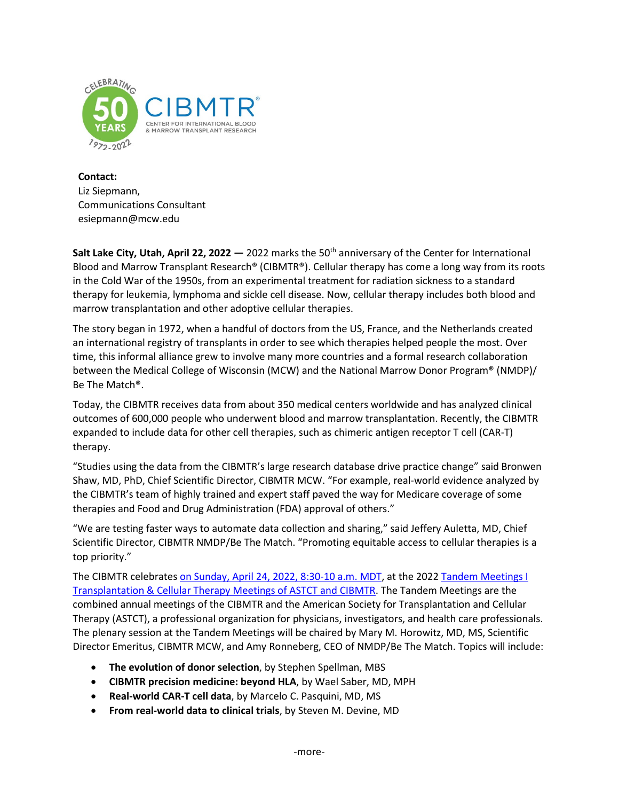

**Contact:** Liz Siepmann, Communications Consultant esiepmann@mcw.edu

**Salt Lake City, Utah, April 22, 2022 —** 2022 marks the 50th anniversary of the Center for International Blood and Marrow Transplant Research® (CIBMTR®). Cellular therapy has come a long way from its roots in the Cold War of the 1950s, from an experimental treatment for radiation sickness to a standard therapy for leukemia, lymphoma and sickle cell disease. Now, cellular therapy includes both blood and marrow transplantation and other adoptive cellular therapies.

The story began in 1972, when a handful of doctors from the US, France, and the Netherlands created an international registry of transplants in order to see which therapies helped people the most. Over time, this informal alliance grew to involve many more countries and a formal research collaboration between the Medical College of Wisconsin (MCW) and the National Marrow Donor Program® (NMDP)/ Be The Match®.

Today, the CIBMTR receives data from about 350 medical centers worldwide and has analyzed clinical outcomes of 600,000 people who underwent blood and marrow transplantation. Recently, the CIBMTR expanded to include data for other cell therapies, such as chimeric antigen receptor T cell (CAR-T) therapy.

"Studies using the data from the CIBMTR's large research database drive practice change" said Bronwen Shaw, MD, PhD, Chief Scientific Director, CIBMTR MCW. "For example, real-world evidence analyzed by the CIBMTR's team of highly trained and expert staff paved the way for Medicare coverage of some therapies and Food and Drug Administration (FDA) approval of others."

"We are testing faster ways to automate data collection and sharing," said Jeffery Auletta, MD, Chief Scientific Director, CIBMTR NMDP/Be The Match. "Promoting equitable access to cellular therapies is a top priority."

The CIBMTR celebrates [on Sunday, April 24, 2022, 8:30-10 a.m. MDT,](https://tandem.confex.com/tandem/2022/meetingapp.cgi/Session/6368) at the 2022 Tandem Meetings I [Transplantation & Cellular Therapy Meetings of ASTCT and CIBMTR.](https://na.eventscloud.com/ehome/644055/) The Tandem Meetings are the combined annual meetings of the CIBMTR and the American Society for Transplantation and Cellular Therapy (ASTCT), a professional organization for physicians, investigators, and health care professionals. The plenary session at the Tandem Meetings will be chaired by Mary M. Horowitz, MD, MS, Scientific Director Emeritus, CIBMTR MCW, and Amy Ronneberg, CEO of NMDP/Be The Match. Topics will include:

- **The evolution of donor selection**, by Stephen Spellman, MBS
- **CIBMTR precision medicine: beyond HLA**, by Wael Saber, MD, MPH
- **Real-world CAR-T cell data**, by Marcelo C. Pasquini, MD, MS
- **From real-world data to clinical trials**, by Steven M. Devine, MD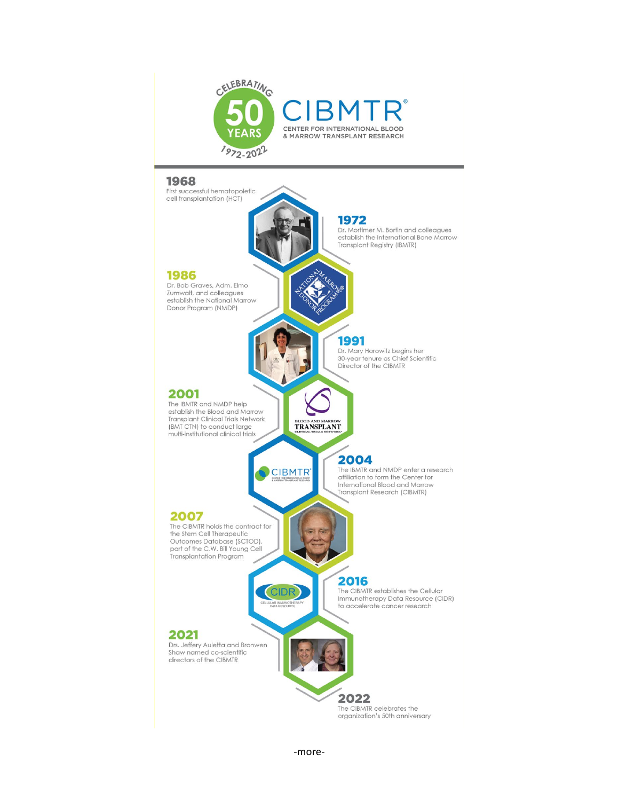